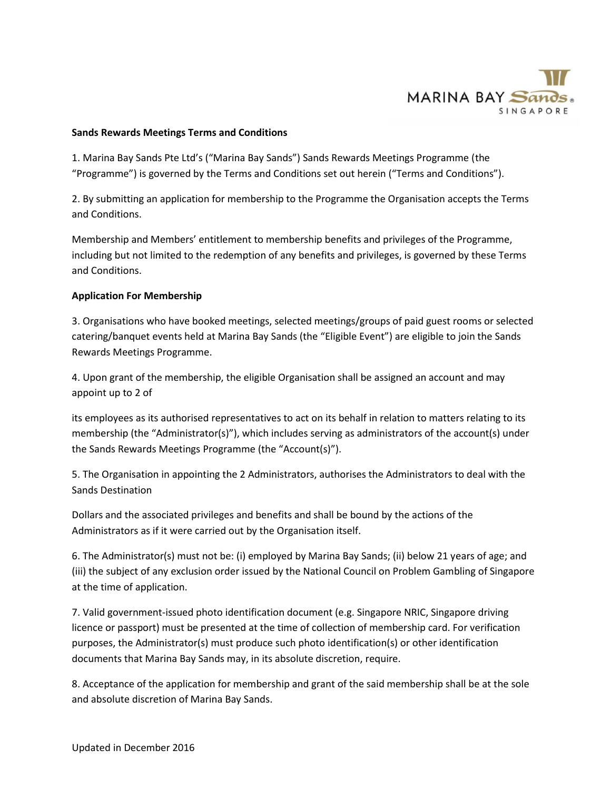

## **Sands Rewards Meetings Terms and Conditions**

1. Marina Bay Sands Pte Ltd's ("Marina Bay Sands") Sands Rewards Meetings Programme (the "Programme") is governed by the Terms and Conditions set out herein ("Terms and Conditions").

2. By submitting an application for membership to the Programme the Organisation accepts the Terms and Conditions.

Membership and Members' entitlement to membership benefits and privileges of the Programme, including but not limited to the redemption of any benefits and privileges, is governed by these Terms and Conditions.

# **Application For Membership**

3. Organisations who have booked meetings, selected meetings/groups of paid guest rooms or selected catering/banquet events held at Marina Bay Sands (the "Eligible Event") are eligible to join the Sands Rewards Meetings Programme.

4. Upon grant of the membership, the eligible Organisation shall be assigned an account and may appoint up to 2 of

its employees as its authorised representatives to act on its behalf in relation to matters relating to its membership (the "Administrator(s)"), which includes serving as administrators of the account(s) under the Sands Rewards Meetings Programme (the "Account(s)").

5. The Organisation in appointing the 2 Administrators, authorises the Administrators to deal with the Sands Destination

Dollars and the associated privileges and benefits and shall be bound by the actions of the Administrators as if it were carried out by the Organisation itself.

6. The Administrator(s) must not be: (i) employed by Marina Bay Sands; (ii) below 21 years of age; and (iii) the subject of any exclusion order issued by the National Council on Problem Gambling of Singapore at the time of application.

7. Valid government-issued photo identification document (e.g. Singapore NRIC, Singapore driving licence or passport) must be presented at the time of collection of membership card. For verification purposes, the Administrator(s) must produce such photo identification(s) or other identification documents that Marina Bay Sands may, in its absolute discretion, require.

8. Acceptance of the application for membership and grant of the said membership shall be at the sole and absolute discretion of Marina Bay Sands.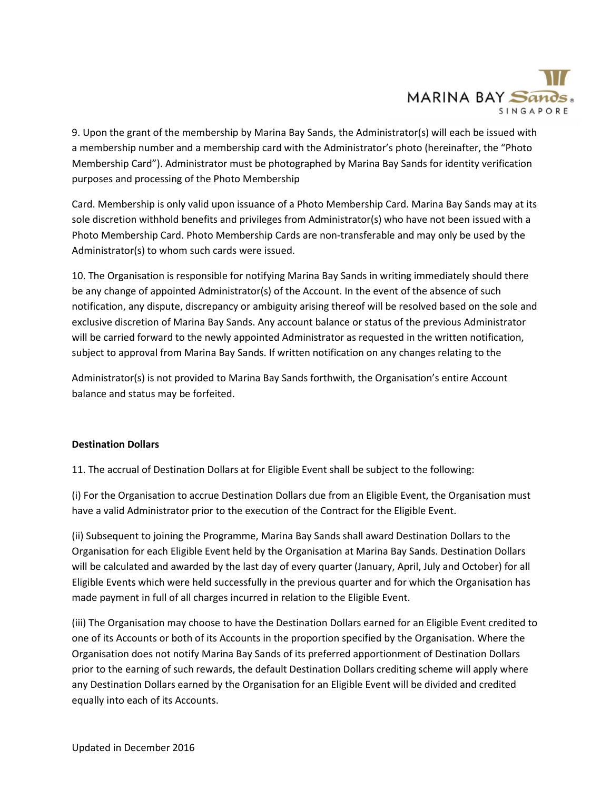

9. Upon the grant of the membership by Marina Bay Sands, the Administrator(s) will each be issued with a membership number and a membership card with the Administrator's photo (hereinafter, the "Photo Membership Card"). Administrator must be photographed by Marina Bay Sands for identity verification purposes and processing of the Photo Membership

Card. Membership is only valid upon issuance of a Photo Membership Card. Marina Bay Sands may at its sole discretion withhold benefits and privileges from Administrator(s) who have not been issued with a Photo Membership Card. Photo Membership Cards are non-transferable and may only be used by the Administrator(s) to whom such cards were issued.

10. The Organisation is responsible for notifying Marina Bay Sands in writing immediately should there be any change of appointed Administrator(s) of the Account. In the event of the absence of such notification, any dispute, discrepancy or ambiguity arising thereof will be resolved based on the sole and exclusive discretion of Marina Bay Sands. Any account balance or status of the previous Administrator will be carried forward to the newly appointed Administrator as requested in the written notification, subject to approval from Marina Bay Sands. If written notification on any changes relating to the

Administrator(s) is not provided to Marina Bay Sands forthwith, the Organisation's entire Account balance and status may be forfeited.

# **Destination Dollars**

11. The accrual of Destination Dollars at for Eligible Event shall be subject to the following:

(i) For the Organisation to accrue Destination Dollars due from an Eligible Event, the Organisation must have a valid Administrator prior to the execution of the Contract for the Eligible Event.

(ii) Subsequent to joining the Programme, Marina Bay Sands shall award Destination Dollars to the Organisation for each Eligible Event held by the Organisation at Marina Bay Sands. Destination Dollars will be calculated and awarded by the last day of every quarter (January, April, July and October) for all Eligible Events which were held successfully in the previous quarter and for which the Organisation has made payment in full of all charges incurred in relation to the Eligible Event.

(iii) The Organisation may choose to have the Destination Dollars earned for an Eligible Event credited to one of its Accounts or both of its Accounts in the proportion specified by the Organisation. Where the Organisation does not notify Marina Bay Sands of its preferred apportionment of Destination Dollars prior to the earning of such rewards, the default Destination Dollars crediting scheme will apply where any Destination Dollars earned by the Organisation for an Eligible Event will be divided and credited equally into each of its Accounts.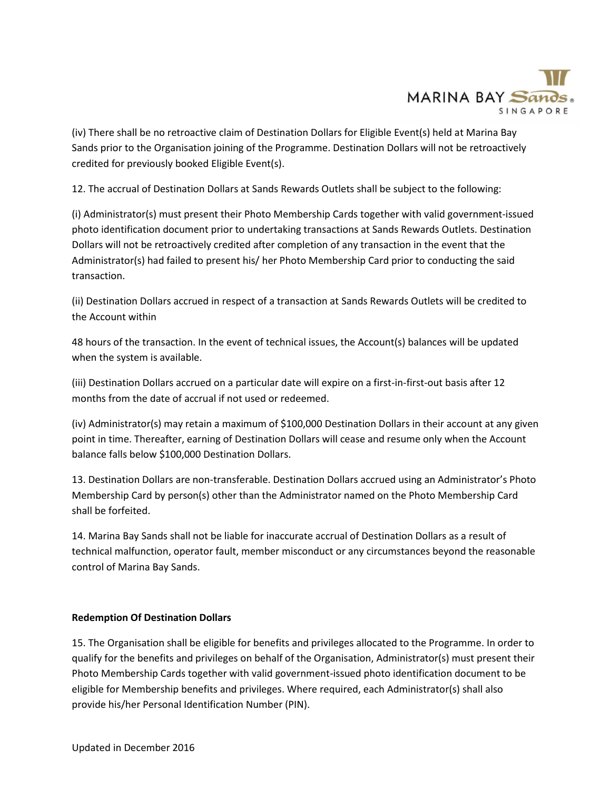

(iv) There shall be no retroactive claim of Destination Dollars for Eligible Event(s) held at Marina Bay Sands prior to the Organisation joining of the Programme. Destination Dollars will not be retroactively credited for previously booked Eligible Event(s).

12. The accrual of Destination Dollars at Sands Rewards Outlets shall be subject to the following:

(i) Administrator(s) must present their Photo Membership Cards together with valid government-issued photo identification document prior to undertaking transactions at Sands Rewards Outlets. Destination Dollars will not be retroactively credited after completion of any transaction in the event that the Administrator(s) had failed to present his/ her Photo Membership Card prior to conducting the said transaction.

(ii) Destination Dollars accrued in respect of a transaction at Sands Rewards Outlets will be credited to the Account within

48 hours of the transaction. In the event of technical issues, the Account(s) balances will be updated when the system is available.

(iii) Destination Dollars accrued on a particular date will expire on a first-in-first-out basis after 12 months from the date of accrual if not used or redeemed.

(iv) Administrator(s) may retain a maximum of \$100,000 Destination Dollars in their account at any given point in time. Thereafter, earning of Destination Dollars will cease and resume only when the Account balance falls below \$100,000 Destination Dollars.

13. Destination Dollars are non-transferable. Destination Dollars accrued using an Administrator's Photo Membership Card by person(s) other than the Administrator named on the Photo Membership Card shall be forfeited.

14. Marina Bay Sands shall not be liable for inaccurate accrual of Destination Dollars as a result of technical malfunction, operator fault, member misconduct or any circumstances beyond the reasonable control of Marina Bay Sands.

# **Redemption Of Destination Dollars**

15. The Organisation shall be eligible for benefits and privileges allocated to the Programme. In order to qualify for the benefits and privileges on behalf of the Organisation, Administrator(s) must present their Photo Membership Cards together with valid government-issued photo identification document to be eligible for Membership benefits and privileges. Where required, each Administrator(s) shall also provide his/her Personal Identification Number (PIN).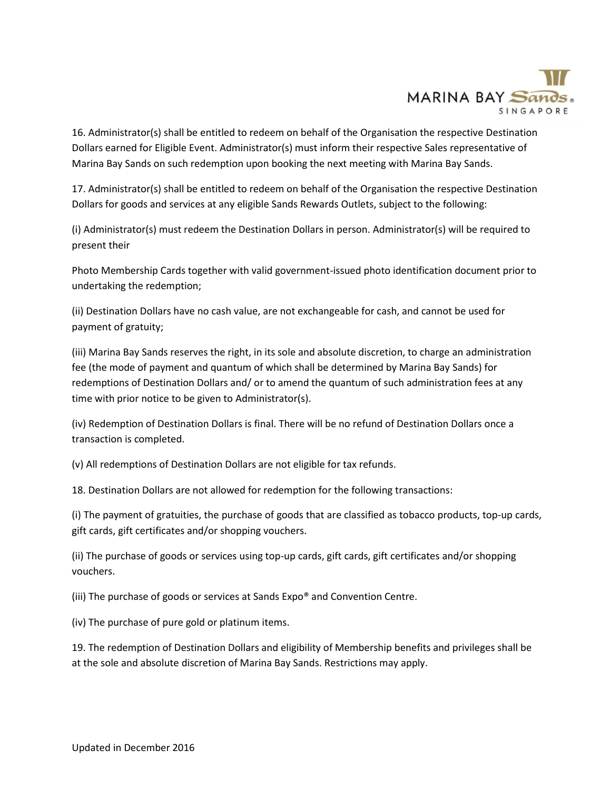

16. Administrator(s) shall be entitled to redeem on behalf of the Organisation the respective Destination Dollars earned for Eligible Event. Administrator(s) must inform their respective Sales representative of Marina Bay Sands on such redemption upon booking the next meeting with Marina Bay Sands.

17. Administrator(s) shall be entitled to redeem on behalf of the Organisation the respective Destination Dollars for goods and services at any eligible Sands Rewards Outlets, subject to the following:

(i) Administrator(s) must redeem the Destination Dollars in person. Administrator(s) will be required to present their

Photo Membership Cards together with valid government-issued photo identification document prior to undertaking the redemption;

(ii) Destination Dollars have no cash value, are not exchangeable for cash, and cannot be used for payment of gratuity;

(iii) Marina Bay Sands reserves the right, in its sole and absolute discretion, to charge an administration fee (the mode of payment and quantum of which shall be determined by Marina Bay Sands) for redemptions of Destination Dollars and/ or to amend the quantum of such administration fees at any time with prior notice to be given to Administrator(s).

(iv) Redemption of Destination Dollars is final. There will be no refund of Destination Dollars once a transaction is completed.

(v) All redemptions of Destination Dollars are not eligible for tax refunds.

18. Destination Dollars are not allowed for redemption for the following transactions:

(i) The payment of gratuities, the purchase of goods that are classified as tobacco products, top-up cards, gift cards, gift certificates and/or shopping vouchers.

(ii) The purchase of goods or services using top-up cards, gift cards, gift certificates and/or shopping vouchers.

(iii) The purchase of goods or services at Sands Expo® and Convention Centre.

(iv) The purchase of pure gold or platinum items.

19. The redemption of Destination Dollars and eligibility of Membership benefits and privileges shall be at the sole and absolute discretion of Marina Bay Sands. Restrictions may apply.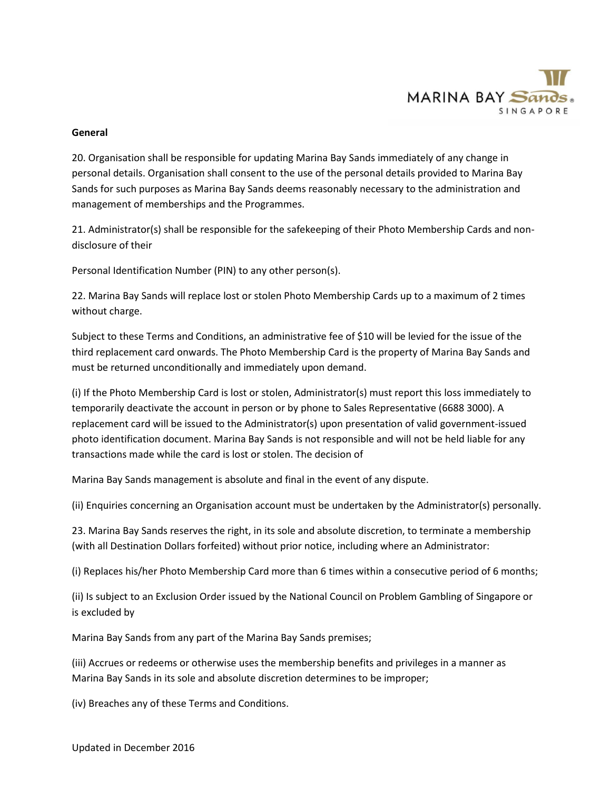

## **General**

20. Organisation shall be responsible for updating Marina Bay Sands immediately of any change in personal details. Organisation shall consent to the use of the personal details provided to Marina Bay Sands for such purposes as Marina Bay Sands deems reasonably necessary to the administration and management of memberships and the Programmes.

21. Administrator(s) shall be responsible for the safekeeping of their Photo Membership Cards and nondisclosure of their

Personal Identification Number (PIN) to any other person(s).

22. Marina Bay Sands will replace lost or stolen Photo Membership Cards up to a maximum of 2 times without charge.

Subject to these Terms and Conditions, an administrative fee of \$10 will be levied for the issue of the third replacement card onwards. The Photo Membership Card is the property of Marina Bay Sands and must be returned unconditionally and immediately upon demand.

(i) If the Photo Membership Card is lost or stolen, Administrator(s) must report this loss immediately to temporarily deactivate the account in person or by phone to Sales Representative (6688 3000). A replacement card will be issued to the Administrator(s) upon presentation of valid government-issued photo identification document. Marina Bay Sands is not responsible and will not be held liable for any transactions made while the card is lost or stolen. The decision of

Marina Bay Sands management is absolute and final in the event of any dispute.

(ii) Enquiries concerning an Organisation account must be undertaken by the Administrator(s) personally.

23. Marina Bay Sands reserves the right, in its sole and absolute discretion, to terminate a membership (with all Destination Dollars forfeited) without prior notice, including where an Administrator:

(i) Replaces his/her Photo Membership Card more than 6 times within a consecutive period of 6 months;

(ii) Is subject to an Exclusion Order issued by the National Council on Problem Gambling of Singapore or is excluded by

Marina Bay Sands from any part of the Marina Bay Sands premises;

(iii) Accrues or redeems or otherwise uses the membership benefits and privileges in a manner as Marina Bay Sands in its sole and absolute discretion determines to be improper;

(iv) Breaches any of these Terms and Conditions.